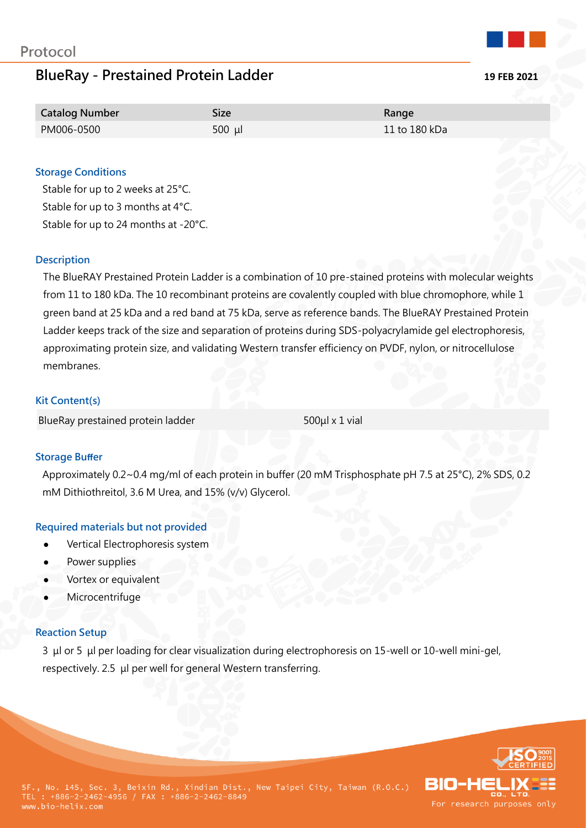# **BlueRay - Prestained Protein Ladder 19 FEB 2021**



| <b>Catalog Number</b> | Size        | Range             |
|-----------------------|-------------|-------------------|
| PM006-0500            | 500 $\mu$ l | $11$ to $180$ kDa |

### **Storage Conditions**

Stable for up to 2 weeks at 25°C. Stable for up to 3 months at 4°C. Stable for up to 24 months at -20°C.

#### **Description**

The BlueRAY Prestained Protein Ladder is a combination of 10 pre-stained proteins with molecular weights from 11 to 180 kDa. The 10 recombinant proteins are covalently coupled with blue chromophore, while 1 green band at 25 kDa and a red band at 75 kDa, serve as reference bands. The BlueRAY Prestained Protein Ladder keeps track of the size and separation of proteins during SDS-polyacrylamide gel electrophoresis, approximating protein size, and validating Western transfer efficiency on PVDF, nylon, or nitrocellulose membranes.

## **Kit Content(s)**

BlueRay prestained protein ladder 500μl x 1 vial

#### **Storage Buffer**

Approximately 0.2~0.4 mg/ml of each protein in buffer (20 mM Trisphosphate pH 7.5 at 25°C), 2% SDS, 0.2 mM Dithiothreitol, 3.6 M Urea, and 15% (v/v) Glycerol.

#### **Required materials but not provided**

- Vertical Electrophoresis system
- Power supplies
- Vortex or equivalent
- **Microcentrifuge**

#### **Reaction Setup**

3 μl or 5 μl per loading for clear visualization during electrophoresis on 15-well or 10-well mini-gel, respectively. 2.5 μl per well for general Western transferring.